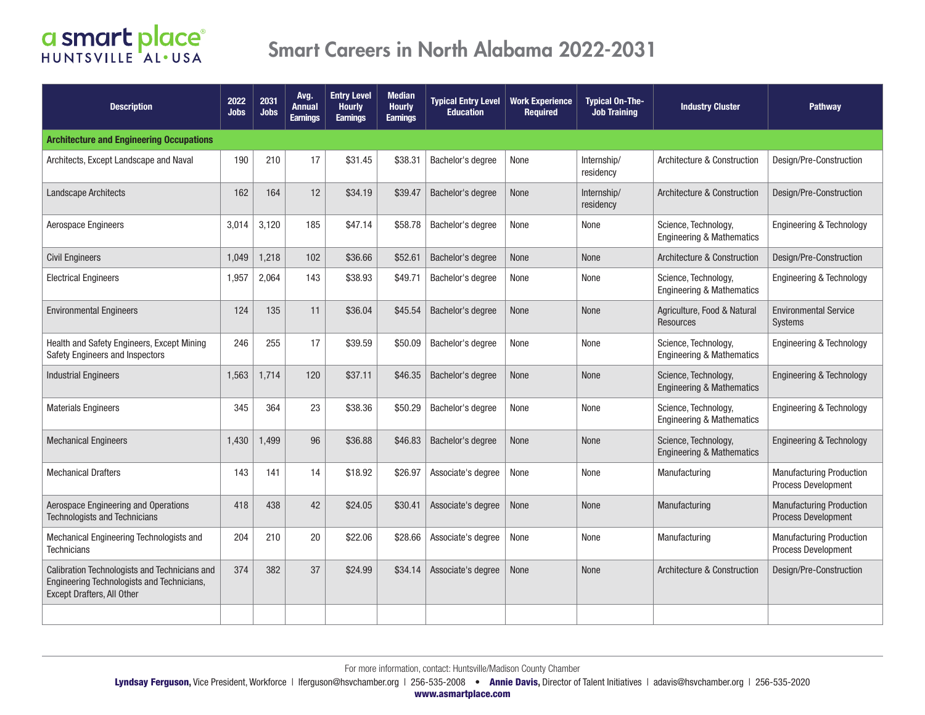| <b>Description</b>                                                                                                        | 2022<br><b>Jobs</b> | 2031<br>Jobs | Avg.<br><b>Annual</b><br><b>Earnings</b> | <b>Entry Level</b><br><b>Hourly</b><br><b>Earnings</b> | <b>Median</b><br><b>Hourly</b><br><b>Earnings</b> | <b>Typical Entry Level</b><br><b>Education</b> | <b>Work Experience</b><br><b>Required</b> | <b>Typical On-The-</b><br><b>Job Training</b> | <b>Industry Cluster</b>                                      | <b>Pathway</b>                                                |
|---------------------------------------------------------------------------------------------------------------------------|---------------------|--------------|------------------------------------------|--------------------------------------------------------|---------------------------------------------------|------------------------------------------------|-------------------------------------------|-----------------------------------------------|--------------------------------------------------------------|---------------------------------------------------------------|
| <b>Architecture and Engineering Occupations</b>                                                                           |                     |              |                                          |                                                        |                                                   |                                                |                                           |                                               |                                                              |                                                               |
| Architects, Except Landscape and Naval                                                                                    | 190                 | 210          | 17                                       | \$31.45                                                | \$38.31                                           | Bachelor's degree                              | None                                      | Internship/<br>residency                      | Architecture & Construction                                  | Design/Pre-Construction                                       |
| <b>Landscape Architects</b>                                                                                               | 162                 | 164          | 12                                       | \$34.19                                                | \$39.47                                           | Bachelor's degree                              | None                                      | Internship/<br>residency                      | Architecture & Construction                                  | Design/Pre-Construction                                       |
| Aerospace Engineers                                                                                                       | 3,014               | 3,120        | 185                                      | \$47.14                                                | \$58.78                                           | Bachelor's degree                              | None                                      | None                                          | Science, Technology,<br><b>Engineering &amp; Mathematics</b> | Engineering & Technology                                      |
| <b>Civil Engineers</b>                                                                                                    | 1,049               | 1,218        | 102                                      | \$36.66                                                | \$52.61                                           | Bachelor's degree                              | None                                      | None                                          | Architecture & Construction                                  | Design/Pre-Construction                                       |
| <b>Electrical Engineers</b>                                                                                               | 1,957               | 2,064        | 143                                      | \$38.93                                                | \$49.71                                           | Bachelor's degree                              | None                                      | None                                          | Science, Technology,<br><b>Engineering &amp; Mathematics</b> | Engineering & Technology                                      |
| <b>Environmental Engineers</b>                                                                                            | 124                 | 135          | 11                                       | \$36.04                                                | \$45.54                                           | Bachelor's degree                              | None                                      | None                                          | Agriculture, Food & Natural<br>Resources                     | <b>Environmental Service</b><br><b>Systems</b>                |
| Health and Safety Engineers, Except Mining<br>Safety Engineers and Inspectors                                             | 246                 | 255          | 17                                       | \$39.59                                                | \$50.09                                           | Bachelor's degree                              | None                                      | None                                          | Science, Technology,<br><b>Engineering &amp; Mathematics</b> | Engineering & Technology                                      |
| <b>Industrial Engineers</b>                                                                                               | 1,563               | 1,714        | 120                                      | \$37.11                                                | \$46.35                                           | Bachelor's degree                              | None                                      | None                                          | Science, Technology,<br><b>Engineering &amp; Mathematics</b> | Engineering & Technology                                      |
| <b>Materials Engineers</b>                                                                                                | 345                 | 364          | 23                                       | \$38.36                                                | \$50.29                                           | Bachelor's degree                              | None                                      | None                                          | Science, Technology,<br><b>Engineering &amp; Mathematics</b> | Engineering & Technology                                      |
| <b>Mechanical Engineers</b>                                                                                               | 1,430               | 1,499        | 96                                       | \$36.88                                                | \$46.83                                           | Bachelor's degree                              | None                                      | None                                          | Science, Technology,<br><b>Engineering &amp; Mathematics</b> | Engineering & Technology                                      |
| <b>Mechanical Drafters</b>                                                                                                | 143                 | 141          | 14                                       | \$18.92                                                | \$26.97                                           | Associate's degree                             | None                                      | None                                          | Manufacturing                                                | <b>Manufacturing Production</b><br><b>Process Development</b> |
| Aerospace Engineering and Operations<br><b>Technologists and Technicians</b>                                              | 418                 | 438          | 42                                       | \$24.05                                                | \$30.41                                           | Associate's degree                             | None                                      | <b>None</b>                                   | Manufacturing                                                | <b>Manufacturing Production</b><br>Process Development        |
| Mechanical Engineering Technologists and<br><b>Technicians</b>                                                            | 204                 | 210          | 20                                       | \$22.06                                                | \$28.66                                           | Associate's degree                             | None                                      | None                                          | Manufacturing                                                | <b>Manufacturing Production</b><br>Process Development        |
| Calibration Technologists and Technicians and<br>Engineering Technologists and Technicians,<br>Except Drafters, All Other | 374                 | 382          | 37                                       | \$24.99                                                | \$34.14                                           | Associate's degree                             | None                                      | <b>None</b>                                   | Architecture & Construction                                  | Design/Pre-Construction                                       |
|                                                                                                                           |                     |              |                                          |                                                        |                                                   |                                                |                                           |                                               |                                                              |                                                               |

Lyndsay Ferguson, Vice President, Workforce | Iferguson@hsvchamber.org | 256-535-2008 • Annie Davis, Director of Talent Initiatives | adavis@hsvchamber.org | 256-535-2020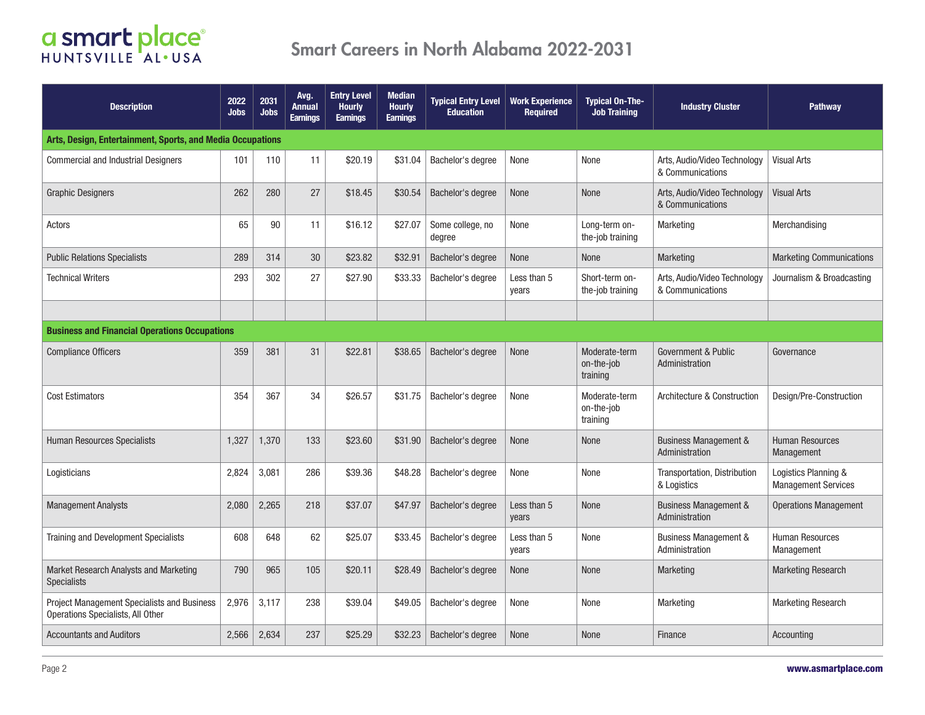| <b>Description</b>                                                               | 2022<br><b>Jobs</b> | 2031<br><b>Jobs</b> | Avg.<br>Annual<br><b>Earnings</b> | <b>Entry Level</b><br><b>Hourly</b><br><b>Earnings</b> | <b>Median</b><br><b>Hourly</b><br><b>Earnings</b> | <b>Typical Entry Level</b><br><b>Education</b> | <b>Work Experience</b><br><b>Required</b> | <b>Typical On-The-</b><br><b>Job Training</b> | <b>Industry Cluster</b>                            | Pathway                                            |  |  |
|----------------------------------------------------------------------------------|---------------------|---------------------|-----------------------------------|--------------------------------------------------------|---------------------------------------------------|------------------------------------------------|-------------------------------------------|-----------------------------------------------|----------------------------------------------------|----------------------------------------------------|--|--|
| Arts, Design, Entertainment, Sports, and Media Occupations                       |                     |                     |                                   |                                                        |                                                   |                                                |                                           |                                               |                                                    |                                                    |  |  |
| <b>Commercial and Industrial Designers</b>                                       | 101                 | 110                 | 11                                | \$20.19                                                | \$31.04                                           | Bachelor's degree                              | None                                      | None                                          | Arts, Audio/Video Technology<br>& Communications   | <b>Visual Arts</b>                                 |  |  |
| <b>Graphic Designers</b>                                                         | 262                 | 280                 | 27                                | \$18.45                                                | \$30.54                                           | Bachelor's degree                              | None                                      | <b>None</b>                                   | Arts, Audio/Video Technology<br>& Communications   | <b>Visual Arts</b>                                 |  |  |
| Actors                                                                           | 65                  | 90                  | 11                                | \$16.12                                                | \$27.07                                           | Some college, no<br>degree                     | None                                      | Long-term on-<br>the-job training             | Marketing                                          | Merchandising                                      |  |  |
| <b>Public Relations Specialists</b>                                              | 289                 | 314                 | 30                                | \$23.82                                                | \$32.91                                           | Bachelor's degree                              | None                                      | None                                          | <b>Marketing</b>                                   | <b>Marketing Communications</b>                    |  |  |
| <b>Technical Writers</b>                                                         | 293                 | 302                 | 27                                | \$27.90                                                | \$33.33                                           | Bachelor's degree                              | Less than 5<br>years                      | Short-term on-<br>the-job training            | Arts, Audio/Video Technology<br>& Communications   | Journalism & Broadcasting                          |  |  |
|                                                                                  |                     |                     |                                   |                                                        |                                                   |                                                |                                           |                                               |                                                    |                                                    |  |  |
| <b>Business and Financial Operations Occupations</b>                             |                     |                     |                                   |                                                        |                                                   |                                                |                                           |                                               |                                                    |                                                    |  |  |
| <b>Compliance Officers</b>                                                       | 359                 | 381                 | 31                                | \$22.81                                                | \$38.65                                           | Bachelor's degree                              | None                                      | Moderate-term<br>on-the-job<br>training       | Government & Public<br>Administration              | Governance                                         |  |  |
| <b>Cost Estimators</b>                                                           | 354                 | 367                 | 34                                | \$26.57                                                | \$31.75                                           | Bachelor's degree                              | None                                      | Moderate-term<br>on-the-job<br>training       | Architecture & Construction                        | Design/Pre-Construction                            |  |  |
| <b>Human Resources Specialists</b>                                               | 1,327               | 1,370               | 133                               | \$23.60                                                | \$31.90                                           | Bachelor's degree                              | None                                      | None                                          | <b>Business Management &amp;</b><br>Administration | <b>Human Resources</b><br>Management               |  |  |
| Logisticians                                                                     | 2,824               | 3,081               | 286                               | \$39.36                                                | \$48.28                                           | Bachelor's degree                              | None                                      | None                                          | Transportation, Distribution<br>& Logistics        | Logistics Planning &<br><b>Management Services</b> |  |  |
| <b>Management Analysts</b>                                                       | 2,080               | 2,265               | 218                               | \$37.07                                                | \$47.97                                           | Bachelor's degree                              | Less than 5<br>years                      | <b>None</b>                                   | <b>Business Management &amp;</b><br>Administration | <b>Operations Management</b>                       |  |  |
| Training and Development Specialists                                             | 608                 | 648                 | 62                                | \$25.07                                                | \$33.45                                           | Bachelor's degree                              | Less than 5<br>years                      | None                                          | <b>Business Management &amp;</b><br>Administration | <b>Human Resources</b><br>Management               |  |  |
| Market Research Analysts and Marketing<br><b>Specialists</b>                     | 790                 | 965                 | 105                               | \$20.11                                                | \$28.49                                           | Bachelor's degree                              | None                                      | None                                          | <b>Marketing</b>                                   | <b>Marketing Research</b>                          |  |  |
| Project Management Specialists and Business<br>Operations Specialists, All Other | 2,976               | 3,117               | 238                               | \$39.04                                                | \$49.05                                           | Bachelor's degree                              | None                                      | None                                          | Marketing                                          | <b>Marketing Research</b>                          |  |  |
| <b>Accountants and Auditors</b>                                                  | 2,566               | 2,634               | 237                               | \$25.29                                                | \$32.23                                           | Bachelor's degree                              | None                                      | <b>None</b>                                   | Finance                                            | Accounting                                         |  |  |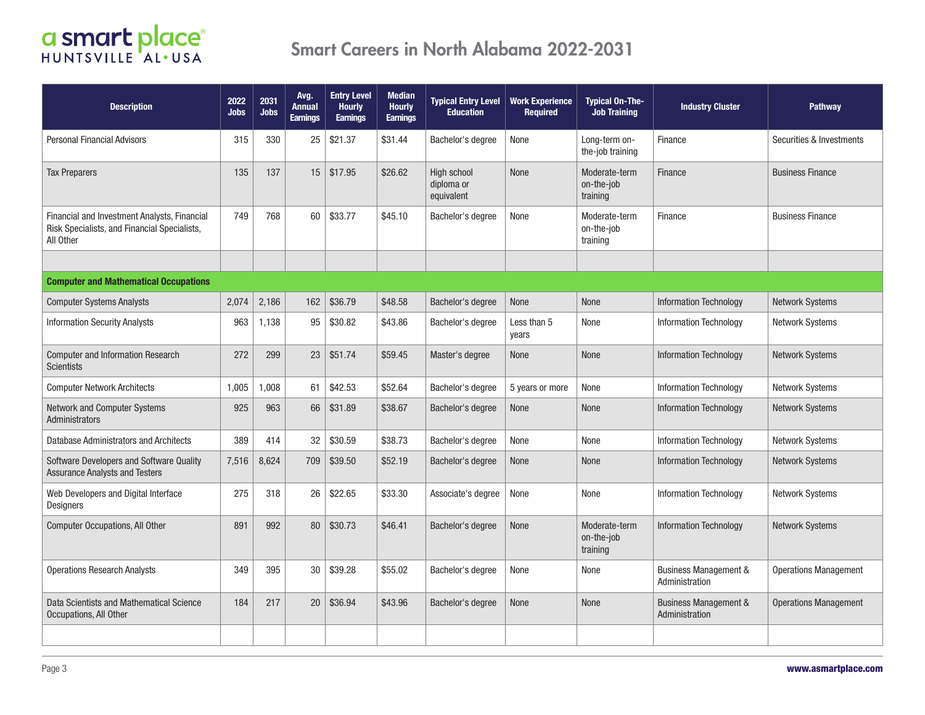| <b>Description</b>                                                                                        | 2022<br><b>Jobs</b> | 2031<br><b>Jobs</b> | Avg.<br>Annual<br><b>Earnings</b> | <b>Entry Level</b><br><b>Hourly</b><br><b>Earnings</b> | <b>Median</b><br><b>Hourly</b><br><b>Earnings</b> | <b>Typical Entry Level</b><br><b>Education</b> | <b>Work Experience</b><br><b>Required</b> | <b>Typical On-The-</b><br><b>Job Training</b> | <b>Industry Cluster</b>                            | <b>Pathway</b>               |
|-----------------------------------------------------------------------------------------------------------|---------------------|---------------------|-----------------------------------|--------------------------------------------------------|---------------------------------------------------|------------------------------------------------|-------------------------------------------|-----------------------------------------------|----------------------------------------------------|------------------------------|
| <b>Personal Financial Advisors</b>                                                                        | 315                 | 330                 | 25                                | \$21.37                                                | \$31.44                                           | Bachelor's degree                              | None                                      | Long-term on-<br>the-job training             | Finance                                            | Securities & Investments     |
| <b>Tax Preparers</b>                                                                                      | 135                 | 137                 | 15                                | \$17.95                                                | \$26.62                                           | High school<br>diploma or<br>equivalent        | None                                      | Moderate-term<br>on-the-job<br>training       | Finance                                            | <b>Business Finance</b>      |
| Financial and Investment Analysts, Financial<br>Risk Specialists, and Financial Specialists,<br>All Other | 749                 | 768                 | 60                                | \$33.77                                                | \$45.10                                           | Bachelor's degree                              | None                                      | Moderate-term<br>on-the-job<br>training       | Finance                                            | <b>Business Finance</b>      |
|                                                                                                           |                     |                     |                                   |                                                        |                                                   |                                                |                                           |                                               |                                                    |                              |
| <b>Computer and Mathematical Occupations</b>                                                              |                     |                     |                                   |                                                        |                                                   |                                                |                                           |                                               |                                                    |                              |
| <b>Computer Systems Analysts</b>                                                                          | 2,074               | 2,186               | 162                               | \$36.79                                                | \$48.58                                           | Bachelor's degree                              | None                                      | None                                          | <b>Information Technology</b>                      | <b>Network Systems</b>       |
| <b>Information Security Analysts</b>                                                                      | 963                 | 1,138               | 95                                | \$30.82                                                | \$43.86                                           | Bachelor's degree                              | Less than 5<br>years                      | None                                          | <b>Information Technology</b>                      | Network Systems              |
| <b>Computer and Information Research</b><br><b>Scientists</b>                                             | 272                 | 299                 | 23                                | \$51.74                                                | \$59.45                                           | Master's degree                                | None                                      | None                                          | <b>Information Technology</b>                      | Network Systems              |
| <b>Computer Network Architects</b>                                                                        | 1.005               | 1,008               | 61                                | \$42.53                                                | \$52.64                                           | Bachelor's degree                              | 5 years or more                           | None                                          | <b>Information Technology</b>                      | <b>Network Systems</b>       |
| <b>Network and Computer Systems</b><br><b>Administrators</b>                                              | 925                 | 963                 | 66                                | \$31.89                                                | \$38.67                                           | Bachelor's degree                              | None                                      | None                                          | <b>Information Technology</b>                      | <b>Network Systems</b>       |
| Database Administrators and Architects                                                                    | 389                 | 414                 | 32                                | \$30.59                                                | \$38.73                                           | Bachelor's degree                              | None                                      | None                                          | <b>Information Technology</b>                      | <b>Network Systems</b>       |
| Software Developers and Software Quality<br><b>Assurance Analysts and Testers</b>                         | 7,516               | 8,624               | 709                               | \$39.50                                                | \$52.19                                           | Bachelor's degree                              | None                                      | <b>None</b>                                   | <b>Information Technology</b>                      | <b>Network Systems</b>       |
| Web Developers and Digital Interface<br>Designers                                                         | 275                 | 318                 | 26                                | \$22.65                                                | \$33.30                                           | Associate's degree                             | None                                      | None                                          | <b>Information Technology</b>                      | <b>Network Systems</b>       |
| <b>Computer Occupations, All Other</b>                                                                    | 891                 | 992                 | 80                                | \$30.73                                                | \$46.41                                           | Bachelor's degree                              | None                                      | Moderate-term<br>on-the-job<br>training       | <b>Information Technology</b>                      | <b>Network Systems</b>       |
| <b>Operations Research Analysts</b>                                                                       | 349                 | 395                 | 30                                | \$39.28                                                | \$55.02                                           | Bachelor's degree                              | None                                      | None                                          | <b>Business Management &amp;</b><br>Administration | <b>Operations Management</b> |
| Data Scientists and Mathematical Science<br>Occupations, All Other                                        | 184                 | 217                 | 20                                | \$36.94                                                | \$43.96                                           | Bachelor's degree                              | None                                      | <b>None</b>                                   | <b>Business Management &amp;</b><br>Administration | <b>Operations Management</b> |
|                                                                                                           |                     |                     |                                   |                                                        |                                                   |                                                |                                           |                                               |                                                    |                              |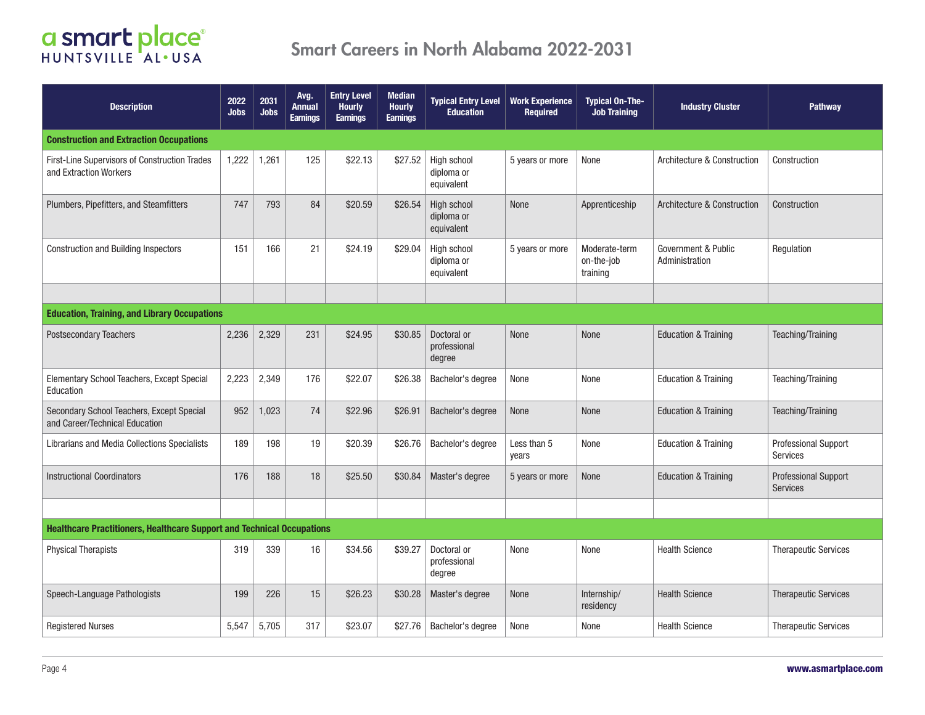# **CI Smart place**

| <b>Description</b>                                                            | 2022<br><b>Jobs</b> | 2031<br><b>Jobs</b> | Avg.<br>Annual<br><b>Earnings</b> | <b>Entry Level</b><br><b>Hourly</b><br><b>Earnings</b> | <b>Median</b><br><b>Hourly</b><br><b>Earnings</b> | <b>Typical Entry Level</b><br><b>Education</b> | <b>Work Experience</b><br><b>Required</b> | <b>Typical On-The-</b><br><b>Job Training</b> | <b>Industry Cluster</b>               | Pathway                                 |  |  |  |
|-------------------------------------------------------------------------------|---------------------|---------------------|-----------------------------------|--------------------------------------------------------|---------------------------------------------------|------------------------------------------------|-------------------------------------------|-----------------------------------------------|---------------------------------------|-----------------------------------------|--|--|--|
| <b>Construction and Extraction Occupations</b>                                |                     |                     |                                   |                                                        |                                                   |                                                |                                           |                                               |                                       |                                         |  |  |  |
| First-Line Supervisors of Construction Trades<br>and Extraction Workers       | 1,222               | 1,261               | 125                               | \$22.13                                                | \$27.52                                           | High school<br>diploma or<br>equivalent        | 5 years or more                           | None                                          | Architecture & Construction           | Construction                            |  |  |  |
| Plumbers, Pipefitters, and Steamfitters                                       | 747                 | 793                 | 84                                | \$20.59                                                | \$26.54                                           | High school<br>diploma or<br>equivalent        | None                                      | Apprenticeship                                | Architecture & Construction           | Construction                            |  |  |  |
| <b>Construction and Building Inspectors</b>                                   | 151                 | 166                 | 21                                | \$24.19                                                | \$29.04                                           | High school<br>diploma or<br>equivalent        | 5 years or more                           | Moderate-term<br>on-the-job<br>training       | Government & Public<br>Administration | Regulation                              |  |  |  |
|                                                                               |                     |                     |                                   |                                                        |                                                   |                                                |                                           |                                               |                                       |                                         |  |  |  |
| <b>Education, Training, and Library Occupations</b>                           |                     |                     |                                   |                                                        |                                                   |                                                |                                           |                                               |                                       |                                         |  |  |  |
| <b>Postsecondary Teachers</b>                                                 | 2,236               | 2,329               | 231                               | \$24.95                                                | \$30.85                                           | Doctoral or<br>professional<br>degree          | None                                      | None                                          | <b>Education &amp; Training</b>       | Teaching/Training                       |  |  |  |
| Elementary School Teachers, Except Special<br>Education                       | 2,223               | 2,349               | 176                               | \$22.07                                                | \$26.38                                           | Bachelor's degree                              | None                                      | None                                          | <b>Education &amp; Training</b>       | Teaching/Training                       |  |  |  |
| Secondary School Teachers, Except Special<br>and Career/Technical Education   | 952                 | 1,023               | 74                                | \$22.96                                                | \$26.91                                           | Bachelor's degree                              | None                                      | None                                          | <b>Education &amp; Training</b>       | Teaching/Training                       |  |  |  |
| Librarians and Media Collections Specialists                                  | 189                 | 198                 | 19                                | \$20.39                                                | \$26.76                                           | Bachelor's degree                              | Less than 5<br>years                      | None                                          | <b>Education &amp; Training</b>       | <b>Professional Support</b><br>Services |  |  |  |
| <b>Instructional Coordinators</b>                                             | 176                 | 188                 | 18                                | \$25.50                                                | \$30.84                                           | Master's degree                                | 5 years or more                           | None                                          | <b>Education &amp; Training</b>       | Professional Support<br><b>Services</b> |  |  |  |
|                                                                               |                     |                     |                                   |                                                        |                                                   |                                                |                                           |                                               |                                       |                                         |  |  |  |
| <b>Healthcare Practitioners, Healthcare Support and Technical Occupations</b> |                     |                     |                                   |                                                        |                                                   |                                                |                                           |                                               |                                       |                                         |  |  |  |
| <b>Physical Therapists</b>                                                    | 319                 | 339                 | 16                                | \$34.56                                                | \$39.27                                           | Doctoral or<br>professional<br>degree          | None                                      | None                                          | <b>Health Science</b>                 | <b>Therapeutic Services</b>             |  |  |  |
| Speech-Language Pathologists                                                  | 199                 | 226                 | 15                                | \$26.23                                                | \$30.28                                           | Master's degree                                | None                                      | Internship/<br>residency                      | <b>Health Science</b>                 | <b>Therapeutic Services</b>             |  |  |  |
| <b>Registered Nurses</b>                                                      | 5,547               | 5,705               | 317                               | \$23.07                                                | \$27.76                                           | Bachelor's degree                              | None                                      | None                                          | <b>Health Science</b>                 | <b>Therapeutic Services</b>             |  |  |  |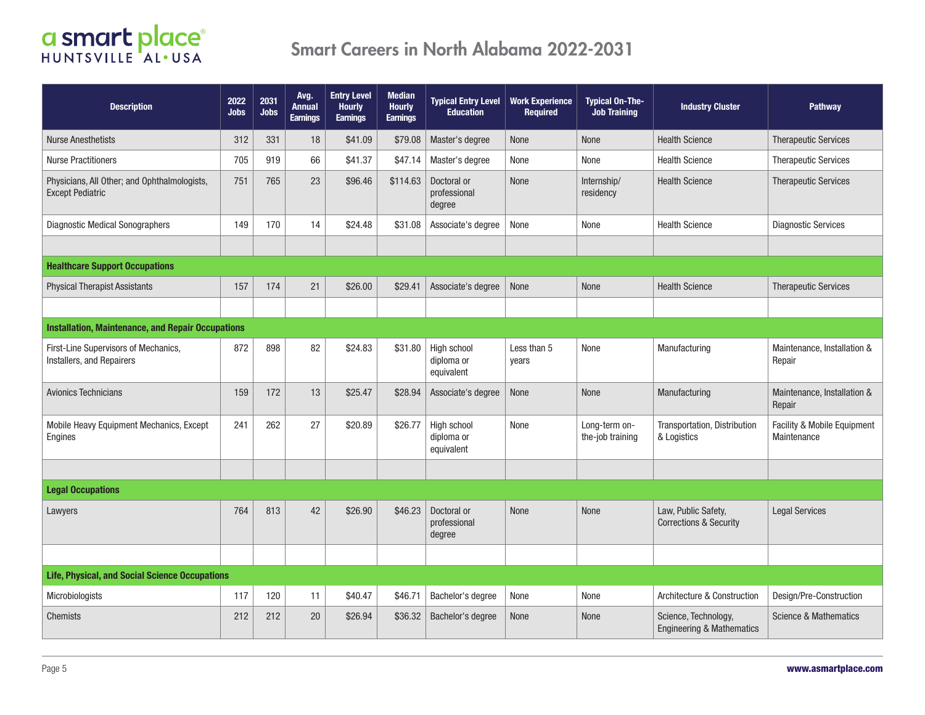| <b>Description</b>                                                      | 2022<br><b>Jobs</b> | 2031<br><b>Jobs</b> | Avg.<br><b>Annual</b><br><b>Earnings</b> | <b>Entry Level</b><br><b>Hourly</b><br><b>Earnings</b> | <b>Median</b><br><b>Hourly</b><br><b>Earnings</b> | <b>Typical Entry Level</b><br><b>Education</b> | <b>Work Experience</b><br><b>Required</b> | <b>Typical On-The-</b><br><b>Job Training</b> | <b>Industry Cluster</b>                                      | Pathway                                    |  |  |  |
|-------------------------------------------------------------------------|---------------------|---------------------|------------------------------------------|--------------------------------------------------------|---------------------------------------------------|------------------------------------------------|-------------------------------------------|-----------------------------------------------|--------------------------------------------------------------|--------------------------------------------|--|--|--|
| <b>Nurse Anesthetists</b>                                               | 312                 | 331                 | 18                                       | \$41.09                                                | \$79.08                                           | Master's degree                                | None                                      | None                                          | <b>Health Science</b>                                        | <b>Therapeutic Services</b>                |  |  |  |
| <b>Nurse Practitioners</b>                                              | 705                 | 919                 | 66                                       | \$41.37                                                | \$47.14                                           | Master's degree                                | None                                      | None                                          | <b>Health Science</b>                                        | <b>Therapeutic Services</b>                |  |  |  |
| Physicians, All Other; and Ophthalmologists,<br><b>Except Pediatric</b> | 751                 | 765                 | 23                                       | \$96.46                                                | \$114.63                                          | Doctoral or<br>professional<br>degree          | None                                      | Internship/<br>residency                      | <b>Health Science</b>                                        | <b>Therapeutic Services</b>                |  |  |  |
| <b>Diagnostic Medical Sonographers</b>                                  | 149                 | 170                 | 14                                       | \$24.48                                                | \$31.08                                           | Associate's degree                             | None                                      | None                                          | <b>Health Science</b>                                        | <b>Diagnostic Services</b>                 |  |  |  |
|                                                                         |                     |                     |                                          |                                                        |                                                   |                                                |                                           |                                               |                                                              |                                            |  |  |  |
| <b>Healthcare Support Occupations</b>                                   |                     |                     |                                          |                                                        |                                                   |                                                |                                           |                                               |                                                              |                                            |  |  |  |
| <b>Physical Therapist Assistants</b>                                    | 157                 | 174                 | 21                                       | \$26.00                                                | \$29.41                                           | Associate's degree                             | None                                      | None                                          | <b>Health Science</b>                                        | <b>Therapeutic Services</b>                |  |  |  |
|                                                                         |                     |                     |                                          |                                                        |                                                   |                                                |                                           |                                               |                                                              |                                            |  |  |  |
| <b>Installation, Maintenance, and Repair Occupations</b>                |                     |                     |                                          |                                                        |                                                   |                                                |                                           |                                               |                                                              |                                            |  |  |  |
| First-Line Supervisors of Mechanics,<br>Installers, and Repairers       | 872                 | 898                 | 82                                       | \$24.83                                                | \$31.80                                           | High school<br>diploma or<br>equivalent        | Less than 5<br>years                      | None                                          | Manufacturing                                                | Maintenance, Installation &<br>Repair      |  |  |  |
| <b>Avionics Technicians</b>                                             | 159                 | 172                 | 13                                       | \$25.47                                                | \$28.94                                           | Associate's degree                             | None                                      | None                                          | Manufacturing                                                | Maintenance, Installation &<br>Repair      |  |  |  |
| Mobile Heavy Equipment Mechanics, Except<br>Engines                     | 241                 | 262                 | 27                                       | \$20.89                                                | \$26.77                                           | High school<br>diploma or<br>equivalent        | None                                      | Long-term on-<br>the-job training             | Transportation, Distribution<br>& Logistics                  | Facility & Mobile Equipment<br>Maintenance |  |  |  |
|                                                                         |                     |                     |                                          |                                                        |                                                   |                                                |                                           |                                               |                                                              |                                            |  |  |  |
| <b>Legal Occupations</b>                                                |                     |                     |                                          |                                                        |                                                   |                                                |                                           |                                               |                                                              |                                            |  |  |  |
| Lawyers                                                                 | 764                 | 813                 | 42                                       | \$26.90                                                | \$46.23                                           | Doctoral or<br>professional<br>degree          | None                                      | None                                          | Law, Public Safety,<br><b>Corrections &amp; Security</b>     | <b>Legal Services</b>                      |  |  |  |
|                                                                         |                     |                     |                                          |                                                        |                                                   |                                                |                                           |                                               |                                                              |                                            |  |  |  |
| Life, Physical, and Social Science Occupations                          |                     |                     |                                          |                                                        |                                                   |                                                |                                           |                                               |                                                              |                                            |  |  |  |
| <b>Microbiologists</b>                                                  | 117                 | 120                 | 11                                       | \$40.47                                                | \$46.71                                           | Bachelor's degree                              | None                                      | None                                          | Architecture & Construction                                  | Design/Pre-Construction                    |  |  |  |
| Chemists                                                                | 212                 | 212                 | 20                                       | \$26.94                                                | \$36.32                                           | Bachelor's degree                              | None                                      | <b>None</b>                                   | Science, Technology,<br><b>Engineering &amp; Mathematics</b> | <b>Science &amp; Mathematics</b>           |  |  |  |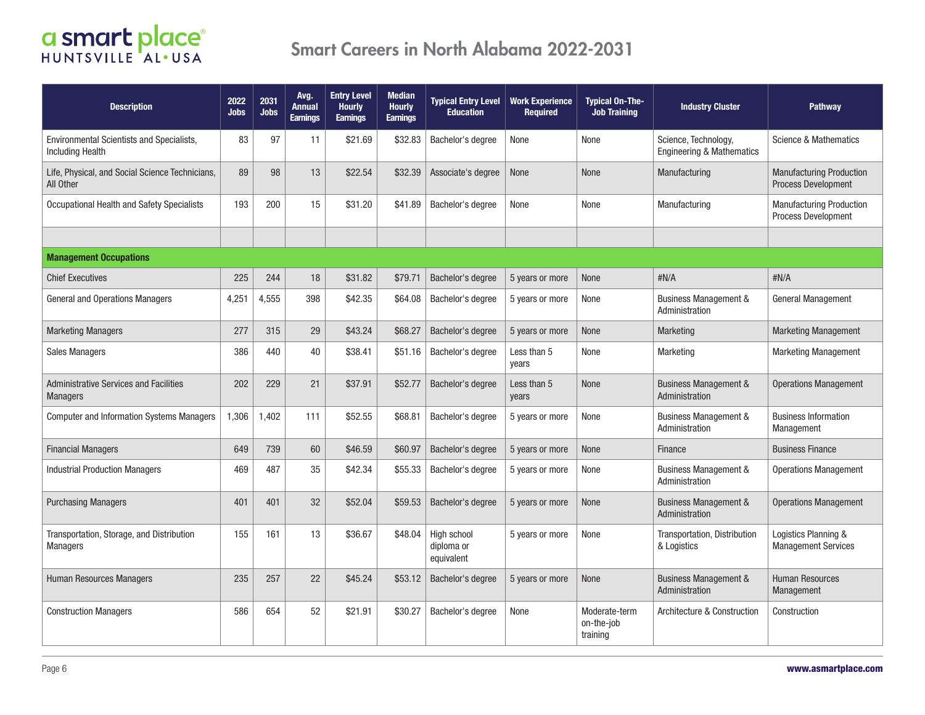| <b>Description</b>                                                   | 2022<br><b>Jobs</b> | 2031<br>Jobs | Avg.<br>Annual<br><b>Earnings</b> | <b>Entry Level</b><br><b>Hourly</b><br><b>Earnings</b> | <b>Median</b><br><b>Hourly</b><br><b>Earnings</b> | <b>Typical Entry Level</b><br><b>Education</b> | <b>Work Experience</b><br><b>Required</b> | <b>Typical On-The-</b><br><b>Job Training</b> | <b>Industry Cluster</b>                                      | <b>Pathway</b>                                                |  |  |  |
|----------------------------------------------------------------------|---------------------|--------------|-----------------------------------|--------------------------------------------------------|---------------------------------------------------|------------------------------------------------|-------------------------------------------|-----------------------------------------------|--------------------------------------------------------------|---------------------------------------------------------------|--|--|--|
| Environmental Scientists and Specialists,<br><b>Including Health</b> | 83                  | 97           | 11                                | \$21.69                                                | \$32.83                                           | Bachelor's degree                              | None                                      | None                                          | Science, Technology,<br><b>Engineering &amp; Mathematics</b> | Science & Mathematics                                         |  |  |  |
| Life, Physical, and Social Science Technicians,<br>All Other         | 89                  | 98           | 13                                | \$22.54                                                | \$32.39                                           | Associate's degree                             | None                                      | None                                          | Manufacturing                                                | <b>Manufacturing Production</b><br><b>Process Development</b> |  |  |  |
| Occupational Health and Safety Specialists                           | 193                 | 200          | 15                                | \$31.20                                                | \$41.89                                           | Bachelor's degree                              | None                                      | None                                          | Manufacturing                                                | <b>Manufacturing Production</b><br>Process Development        |  |  |  |
|                                                                      |                     |              |                                   |                                                        |                                                   |                                                |                                           |                                               |                                                              |                                                               |  |  |  |
| <b>Management Occupations</b>                                        |                     |              |                                   |                                                        |                                                   |                                                |                                           |                                               |                                                              |                                                               |  |  |  |
| <b>Chief Executives</b>                                              | 225                 | 244          | 18                                | \$31.82                                                | \$79.71                                           | Bachelor's degree                              | 5 years or more                           | None                                          | #N/A                                                         | #N/A                                                          |  |  |  |
| General and Operations Managers                                      | 4,251               | 4,555        | 398                               | \$42.35                                                | \$64.08                                           | Bachelor's degree                              | 5 years or more                           | None                                          | <b>Business Management &amp;</b><br>Administration           | <b>General Management</b>                                     |  |  |  |
| <b>Marketing Managers</b>                                            | 277                 | 315          | 29                                | \$43.24                                                | \$68.27                                           | Bachelor's degree                              | 5 years or more                           | None                                          | <b>Marketing</b>                                             | <b>Marketing Management</b>                                   |  |  |  |
| <b>Sales Managers</b>                                                | 386                 | 440          | 40                                | \$38.41                                                | \$51.16                                           | Bachelor's degree                              | Less than 5<br>years                      | None                                          | Marketing                                                    | <b>Marketing Management</b>                                   |  |  |  |
| <b>Administrative Services and Facilities</b><br><b>Managers</b>     | 202                 | 229          | 21                                | \$37.91                                                | \$52.77                                           | Bachelor's degree                              | Less than 5<br>years                      | None                                          | <b>Business Management &amp;</b><br>Administration           | <b>Operations Management</b>                                  |  |  |  |
| <b>Computer and Information Systems Managers</b>                     | 1,306               | 1,402        | 111                               | \$52.55                                                | \$68.81                                           | Bachelor's degree                              | 5 years or more                           | None                                          | <b>Business Management &amp;</b><br>Administration           | <b>Business Information</b><br>Management                     |  |  |  |
| <b>Financial Managers</b>                                            | 649                 | 739          | 60                                | \$46.59                                                | \$60.97                                           | Bachelor's degree                              | 5 years or more                           | None                                          | <b>Finance</b>                                               | <b>Business Finance</b>                                       |  |  |  |
| <b>Industrial Production Managers</b>                                | 469                 | 487          | 35                                | \$42.34                                                | \$55.33                                           | Bachelor's degree                              | 5 years or more                           | None                                          | <b>Business Management &amp;</b><br>Administration           | <b>Operations Management</b>                                  |  |  |  |
| <b>Purchasing Managers</b>                                           | 401                 | 401          | 32                                | \$52.04                                                | \$59.53                                           | Bachelor's degree                              | 5 years or more                           | None                                          | <b>Business Management &amp;</b><br>Administration           | <b>Operations Management</b>                                  |  |  |  |
| Transportation, Storage, and Distribution<br><b>Managers</b>         | 155                 | 161          | 13                                | \$36.67                                                | \$48.04                                           | High school<br>diploma or<br>equivalent        | 5 years or more                           | None                                          | Transportation, Distribution<br>& Logistics                  | Logistics Planning &<br><b>Management Services</b>            |  |  |  |
| Human Resources Managers                                             | 235                 | 257          | 22                                | \$45.24                                                | \$53.12                                           | Bachelor's degree                              | 5 years or more                           | None                                          | <b>Business Management &amp;</b><br>Administration           | <b>Human Resources</b><br>Management                          |  |  |  |
| <b>Construction Managers</b>                                         | 586                 | 654          | 52                                | \$21.91                                                | \$30.27                                           | Bachelor's degree                              | None                                      | Moderate-term<br>on-the-iob<br>training       | Architecture & Construction                                  | Construction                                                  |  |  |  |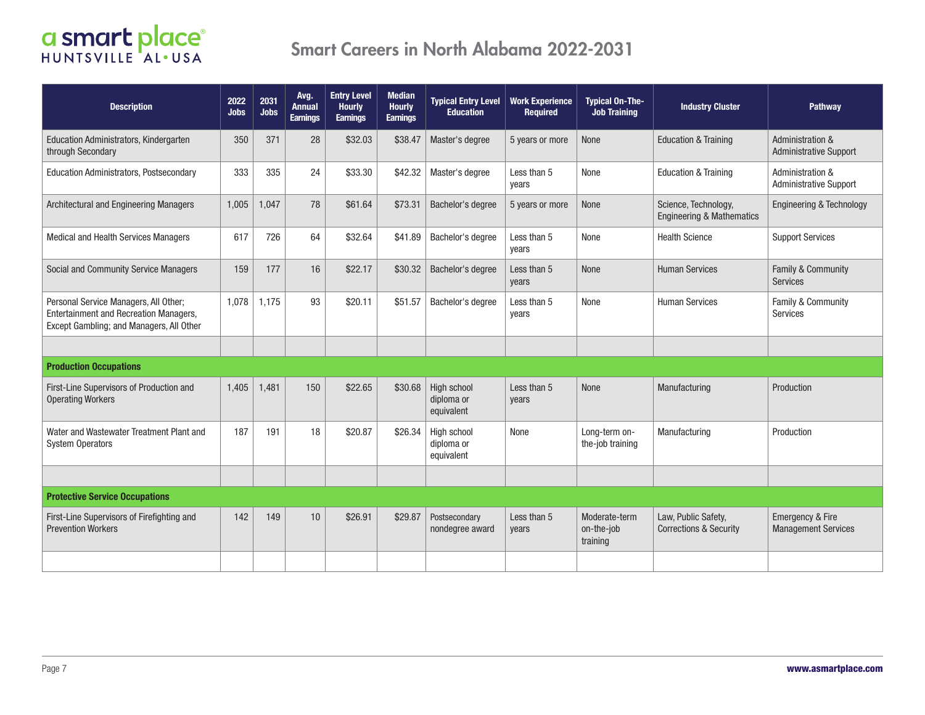| <b>Description</b>                                                                                                          | 2022<br><b>Jobs</b> | 2031<br><b>Jobs</b> | Avg.<br>Annual<br><b>Earnings</b> | <b>Entry Level</b><br><b>Hourly</b><br><b>Earnings</b> | <b>Median</b><br><b>Hourly</b><br><b>Earnings</b> | <b>Typical Entry Level</b><br><b>Education</b> | <b>Work Experience</b><br><b>Required</b> | <b>Typical On-The-</b><br><b>Job Training</b> | <b>Industry Cluster</b>                                      | Pathway                                                      |
|-----------------------------------------------------------------------------------------------------------------------------|---------------------|---------------------|-----------------------------------|--------------------------------------------------------|---------------------------------------------------|------------------------------------------------|-------------------------------------------|-----------------------------------------------|--------------------------------------------------------------|--------------------------------------------------------------|
| <b>Education Administrators, Kindergarten</b><br>through Secondary                                                          | 350                 | 371                 | 28                                | \$32.03                                                | \$38.47                                           | Master's degree                                | 5 years or more                           | None                                          | <b>Education &amp; Training</b>                              | <b>Administration &amp;</b><br><b>Administrative Support</b> |
| Education Administrators, Postsecondary                                                                                     | 333                 | 335                 | 24                                | \$33.30                                                | \$42.32                                           | Master's degree                                | Less than 5<br>years                      | None                                          | <b>Education &amp; Training</b>                              | Administration &<br><b>Administrative Support</b>            |
| Architectural and Engineering Managers                                                                                      | 1,005               | 1,047               | 78                                | \$61.64                                                | \$73.31                                           | Bachelor's degree                              | 5 years or more                           | None                                          | Science, Technology,<br><b>Engineering &amp; Mathematics</b> | Engineering & Technology                                     |
| <b>Medical and Health Services Managers</b>                                                                                 | 617                 | 726                 | 64                                | \$32.64                                                | \$41.89                                           | Bachelor's degree                              | Less than 5<br>years                      | None                                          | <b>Health Science</b>                                        | <b>Support Services</b>                                      |
| Social and Community Service Managers                                                                                       | 159                 | 177                 | 16                                | \$22.17                                                | \$30.32                                           | Bachelor's degree                              | Less than 5<br>years                      | None                                          | <b>Human Services</b>                                        | Family & Community<br>Services                               |
| Personal Service Managers, All Other;<br>Entertainment and Recreation Managers,<br>Except Gambling; and Managers, All Other | 1.078               | 1,175               | 93                                | \$20.11                                                | \$51.57                                           | Bachelor's degree                              | Less than 5<br>years                      | None                                          | <b>Human Services</b>                                        | Family & Community<br><b>Services</b>                        |
|                                                                                                                             |                     |                     |                                   |                                                        |                                                   |                                                |                                           |                                               |                                                              |                                                              |
| <b>Production Occupations</b>                                                                                               |                     |                     |                                   |                                                        |                                                   |                                                |                                           |                                               |                                                              |                                                              |
| First-Line Supervisors of Production and<br><b>Operating Workers</b>                                                        | 1,405               | 1,481               | 150                               | \$22.65                                                | \$30.68                                           | High school<br>diploma or<br>equivalent        | Less than 5<br>years                      | None                                          | Manufacturing                                                | Production                                                   |
| Water and Wastewater Treatment Plant and<br><b>System Operators</b>                                                         | 187                 | 191                 | 18                                | \$20.87                                                | \$26.34                                           | High school<br>diploma or<br>equivalent        | None                                      | Long-term on-<br>the-job training             | Manufacturing                                                | Production                                                   |
|                                                                                                                             |                     |                     |                                   |                                                        |                                                   |                                                |                                           |                                               |                                                              |                                                              |
| <b>Protective Service Occupations</b>                                                                                       |                     |                     |                                   |                                                        |                                                   |                                                |                                           |                                               |                                                              |                                                              |
| First-Line Supervisors of Firefighting and<br><b>Prevention Workers</b>                                                     | 142                 | 149                 | 10                                | \$26.91                                                | \$29.87                                           | Postsecondary<br>nondegree award               | Less than 5<br>years                      | Moderate-term<br>on-the-job<br>training       | Law, Public Safety,<br><b>Corrections &amp; Security</b>     | <b>Emergency &amp; Fire</b><br><b>Management Services</b>    |
|                                                                                                                             |                     |                     |                                   |                                                        |                                                   |                                                |                                           |                                               |                                                              |                                                              |